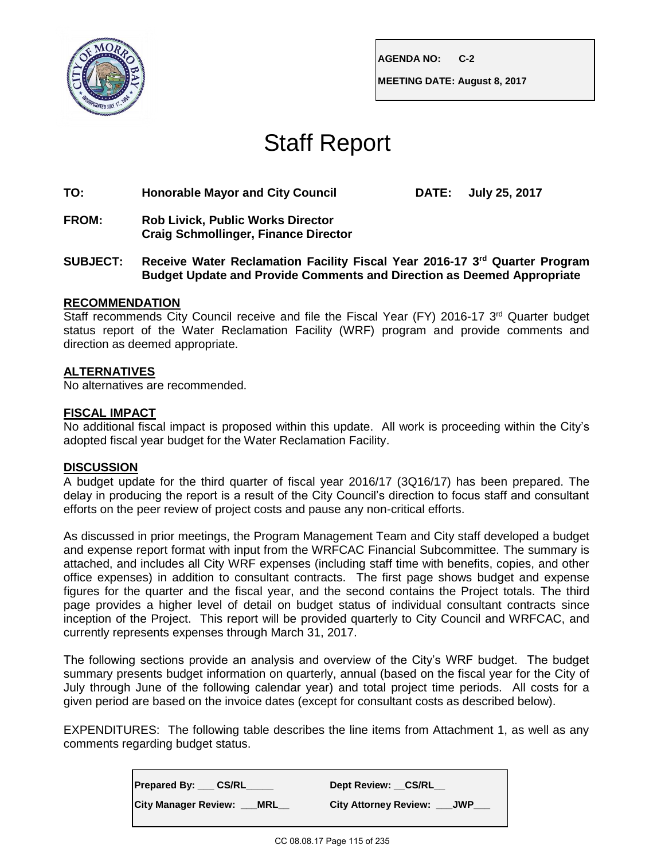

**AGENDA NO: C-2**

**MEETING DATE: August 8, 2017**

# Staff Report

### **TO: Honorable Mayor and City Council DATE: July 25, 2017**

- **FROM: Rob Livick, Public Works Director Craig Schmollinger, Finance Director**
- **SUBJECT: Receive Water Reclamation Facility Fiscal Year 2016-17 3rd Quarter Program Budget Update and Provide Comments and Direction as Deemed Appropriate**

# **RECOMMENDATION**

Staff recommends City Council receive and file the Fiscal Year (FY) 2016-17 3<sup>rd</sup> Quarter budget status report of the Water Reclamation Facility (WRF) program and provide comments and direction as deemed appropriate.

# **ALTERNATIVES**

No alternatives are recommended.

# **FISCAL IMPACT**

No additional fiscal impact is proposed within this update. All work is proceeding within the City's adopted fiscal year budget for the Water Reclamation Facility.

### **DISCUSSION**

A budget update for the third quarter of fiscal year 2016/17 (3Q16/17) has been prepared. The delay in producing the report is a result of the City Council's direction to focus staff and consultant efforts on the peer review of project costs and pause any non-critical efforts.

As discussed in prior meetings, the Program Management Team and City staff developed a budget and expense report format with input from the WRFCAC Financial Subcommittee. The summary is attached, and includes all City WRF expenses (including staff time with benefits, copies, and other office expenses) in addition to consultant contracts. The first page shows budget and expense figures for the quarter and the fiscal year, and the second contains the Project totals. The third page provides a higher level of detail on budget status of individual consultant contracts since inception of the Project. This report will be provided quarterly to City Council and WRFCAC, and currently represents expenses through March 31, 2017.

The following sections provide an analysis and overview of the City's WRF budget. The budget summary presents budget information on quarterly, annual (based on the fiscal year for the City of July through June of the following calendar year) and total project time periods. All costs for a given period are based on the invoice dates (except for consultant costs as described below).

EXPENDITURES: The following table describes the line items from Attachment 1, as well as any comments regarding budget status.

| Prepared By: CS/RL                        | Dept Review: CS/RL               |  |  |  |  |  |
|-------------------------------------------|----------------------------------|--|--|--|--|--|
| <b>City Manager Review:</b><br><b>MRL</b> | <b>City Attorney Review: JWP</b> |  |  |  |  |  |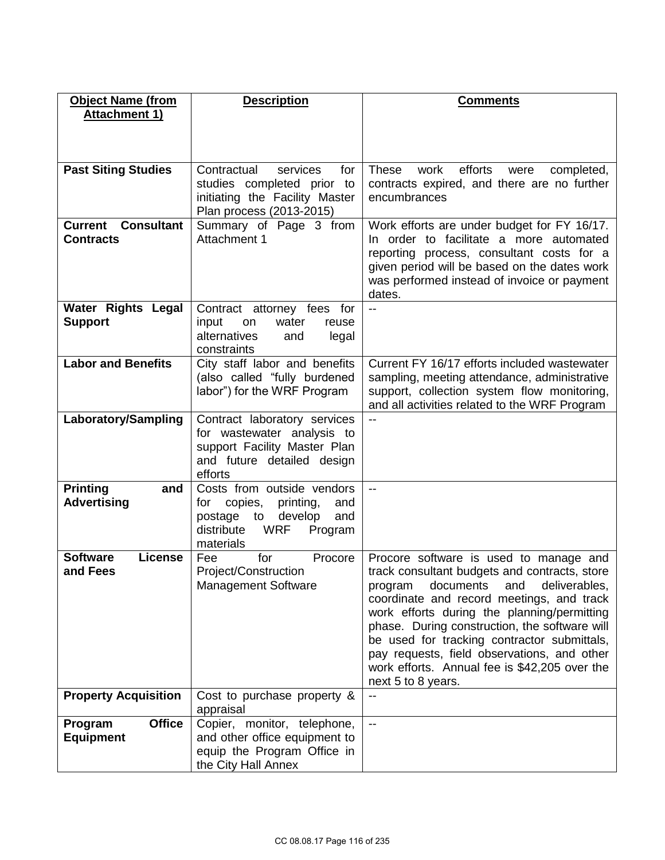| <b>Object Name (from</b>                     | <b>Description</b>                                      | <b>Comments</b>                                                     |
|----------------------------------------------|---------------------------------------------------------|---------------------------------------------------------------------|
| <b>Attachment 1)</b>                         |                                                         |                                                                     |
|                                              |                                                         |                                                                     |
|                                              |                                                         |                                                                     |
|                                              |                                                         |                                                                     |
| <b>Past Siting Studies</b>                   | Contractual<br>for<br>services                          | efforts<br><b>These</b><br>work<br>completed,<br>were               |
|                                              | studies completed prior to                              | contracts expired, and there are no further                         |
|                                              | initiating the Facility Master                          | encumbrances                                                        |
|                                              | Plan process (2013-2015)                                |                                                                     |
| <b>Consultant</b><br><b>Current</b>          | Summary of Page 3 from                                  | Work efforts are under budget for FY 16/17.                         |
| <b>Contracts</b>                             | Attachment 1                                            | In order to facilitate a more automated                             |
|                                              |                                                         | reporting process, consultant costs for a                           |
|                                              |                                                         | given period will be based on the dates work                        |
|                                              |                                                         | was performed instead of invoice or payment                         |
|                                              | Contract attorney fees for                              | dates.<br>$\overline{\phantom{a}}$                                  |
| Water Rights Legal<br><b>Support</b>         | input<br>on<br>water<br>reuse                           |                                                                     |
|                                              | alternatives<br>legal<br>and                            |                                                                     |
|                                              | constraints                                             |                                                                     |
| <b>Labor and Benefits</b>                    | City staff labor and benefits                           | Current FY 16/17 efforts included wastewater                        |
|                                              | (also called "fully burdened                            | sampling, meeting attendance, administrative                        |
|                                              | labor") for the WRF Program                             | support, collection system flow monitoring,                         |
|                                              |                                                         | and all activities related to the WRF Program                       |
| <b>Laboratory/Sampling</b>                   | Contract laboratory services                            | $-$                                                                 |
|                                              | for wastewater analysis to                              |                                                                     |
|                                              | support Facility Master Plan                            |                                                                     |
|                                              | and future detailed design                              |                                                                     |
|                                              | efforts                                                 | $\overline{\phantom{a}}$                                            |
| <b>Printing</b><br>and<br><b>Advertising</b> | Costs from outside vendors<br>and<br>for                |                                                                     |
|                                              | printing,<br>copies,<br>develop<br>and<br>postage<br>to |                                                                     |
|                                              | distribute<br><b>WRF</b><br>Program                     |                                                                     |
|                                              | materials                                               |                                                                     |
| <b>Software</b><br><b>License</b>            | for<br>Procore<br>Fee                                   | Procore software is used to manage and                              |
| and Fees                                     | Project/Construction                                    | track consultant budgets and contracts, store                       |
|                                              | <b>Management Software</b>                              | documents<br>deliverables,<br>and<br>program                        |
|                                              |                                                         | coordinate and record meetings, and track                           |
|                                              |                                                         | work efforts during the planning/permitting                         |
|                                              |                                                         | phase. During construction, the software will                       |
|                                              |                                                         | be used for tracking contractor submittals,                         |
|                                              |                                                         | pay requests, field observations, and other                         |
|                                              |                                                         | work efforts. Annual fee is \$42,205 over the<br>next 5 to 8 years. |
| <b>Property Acquisition</b>                  | Cost to purchase property &                             | --                                                                  |
|                                              | appraisal                                               |                                                                     |
| <b>Office</b><br>Program                     | Copier, monitor, telephone,                             | --                                                                  |
| <b>Equipment</b>                             | and other office equipment to                           |                                                                     |
|                                              | equip the Program Office in                             |                                                                     |
|                                              | the City Hall Annex                                     |                                                                     |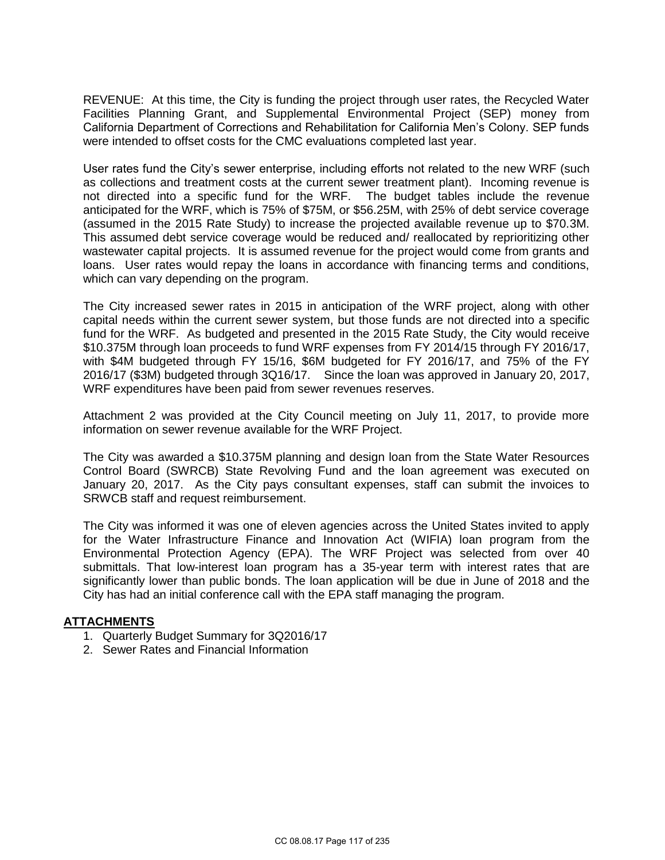REVENUE: At this time, the City is funding the project through user rates, the Recycled Water Facilities Planning Grant, and Supplemental Environmental Project (SEP) money from California Department of Corrections and Rehabilitation for California Men's Colony. SEP funds were intended to offset costs for the CMC evaluations completed last year.

User rates fund the City's sewer enterprise, including efforts not related to the new WRF (such as collections and treatment costs at the current sewer treatment plant). Incoming revenue is not directed into a specific fund for the WRF. The budget tables include the revenue anticipated for the WRF, which is 75% of \$75M, or \$56.25M, with 25% of debt service coverage (assumed in the 2015 Rate Study) to increase the projected available revenue up to \$70.3M. This assumed debt service coverage would be reduced and/ reallocated by reprioritizing other wastewater capital projects. It is assumed revenue for the project would come from grants and loans. User rates would repay the loans in accordance with financing terms and conditions, which can vary depending on the program.

The City increased sewer rates in 2015 in anticipation of the WRF project, along with other capital needs within the current sewer system, but those funds are not directed into a specific fund for the WRF. As budgeted and presented in the 2015 Rate Study, the City would receive \$10.375M through loan proceeds to fund WRF expenses from FY 2014/15 through FY 2016/17, with \$4M budgeted through FY 15/16, \$6M budgeted for FY 2016/17, and 75% of the FY 2016/17 (\$3M) budgeted through 3Q16/17. Since the loan was approved in January 20, 2017, WRF expenditures have been paid from sewer revenues reserves.

Attachment 2 was provided at the City Council meeting on July 11, 2017, to provide more information on sewer revenue available for the WRF Project.

The City was awarded a \$10.375M planning and design loan from the State Water Resources Control Board (SWRCB) State Revolving Fund and the loan agreement was executed on January 20, 2017. As the City pays consultant expenses, staff can submit the invoices to SRWCB staff and request reimbursement.

The City was informed it was one of eleven agencies across the United States invited to apply for the Water Infrastructure Finance and Innovation Act (WIFIA) loan program from the Environmental Protection Agency (EPA). The WRF Project was selected from over 40 submittals. That low-interest loan program has a 35-year term with interest rates that are significantly lower than public bonds. The loan application will be due in June of 2018 and the City has had an initial conference call with the EPA staff managing the program.

### **ATTACHMENTS**

- 1. Quarterly Budget Summary for 3Q2016/17
- 2. Sewer Rates and Financial Information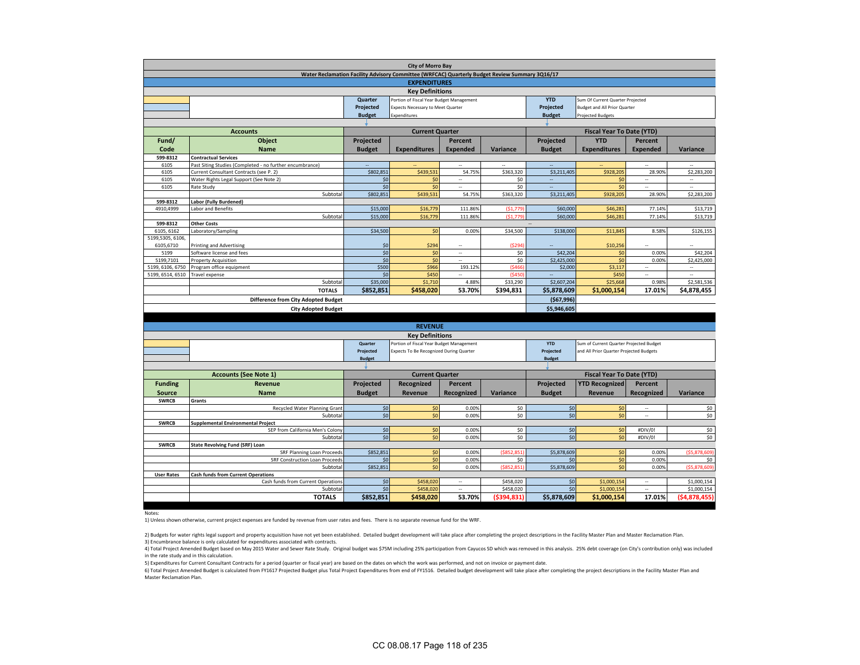| <b>City of Morro Bay</b>                                                                       |                                                                                                              |                                                                                                       |                                         |                          |           |               |                                         |                          |                          |  |  |
|------------------------------------------------------------------------------------------------|--------------------------------------------------------------------------------------------------------------|-------------------------------------------------------------------------------------------------------|-----------------------------------------|--------------------------|-----------|---------------|-----------------------------------------|--------------------------|--------------------------|--|--|
| Water Reclamation Facility Advisory Committee (WRFCAC) Quarterly Budget Review Summary 3Q16/17 |                                                                                                              |                                                                                                       |                                         |                          |           |               |                                         |                          |                          |  |  |
| <b>EXPENDITURES</b>                                                                            |                                                                                                              |                                                                                                       |                                         |                          |           |               |                                         |                          |                          |  |  |
| <b>Key Definitions</b>                                                                         |                                                                                                              |                                                                                                       |                                         |                          |           |               |                                         |                          |                          |  |  |
|                                                                                                |                                                                                                              | <b>YTD</b><br>Quarter<br>Portion of Fiscal Year Budget Management<br>Sum Of Current Quarter Projected |                                         |                          |           |               |                                         |                          |                          |  |  |
|                                                                                                |                                                                                                              | Projected                                                                                             | Expects Necessary to Meet Quarter       |                          |           | Projected     | <b>Budget and All Prior Quarter</b>     |                          |                          |  |  |
|                                                                                                |                                                                                                              | <b>Budget</b>                                                                                         | Expenditures                            |                          |           | <b>Budget</b> | <b>Projected Budgets</b>                |                          |                          |  |  |
|                                                                                                |                                                                                                              |                                                                                                       |                                         |                          |           |               |                                         |                          |                          |  |  |
|                                                                                                | <b>Accounts</b>                                                                                              |                                                                                                       | <b>Current Quarter</b>                  |                          |           |               | <b>Fiscal Year To Date (YTD)</b>        |                          |                          |  |  |
| Fund/                                                                                          | Object                                                                                                       | Projected                                                                                             |                                         | Percent                  |           | Projected     | <b>YTD</b>                              | Percent                  |                          |  |  |
| Code                                                                                           | <b>Name</b>                                                                                                  | <b>Budget</b>                                                                                         | <b>Expenditures</b>                     | <b>Expended</b>          | Variance  | <b>Budget</b> | <b>Expenditures</b>                     | <b>Expended</b>          | Variance                 |  |  |
| 599-8312                                                                                       | <b>Contractual Services</b>                                                                                  |                                                                                                       |                                         |                          |           |               |                                         |                          |                          |  |  |
| 6105                                                                                           | Past Siting Studies (Completed - no further encumbrance)                                                     |                                                                                                       |                                         |                          |           |               |                                         |                          |                          |  |  |
| 6105                                                                                           | Current Consultant Contracts (see P. 2)                                                                      | \$802,851                                                                                             | \$439,531                               | 54.75%                   | \$363,320 | \$3,211,405   | \$928,205                               | 28.90%                   | \$2,283,200              |  |  |
| 6105                                                                                           | Water Rights Legal Support (See Note 2)                                                                      | \$0                                                                                                   | \$0                                     | $\overline{\phantom{a}}$ | \$0       | $\sim$        | \$0                                     | ÷.                       | $\overline{\phantom{a}}$ |  |  |
| 6105                                                                                           | Rate Study                                                                                                   | \$0                                                                                                   | \$0                                     | u.                       | \$0       |               | \$0                                     |                          | à.                       |  |  |
|                                                                                                | Subtota                                                                                                      | \$802,851                                                                                             | \$439,531                               | 54.75%                   | \$363,320 | \$3,211,405   | \$928,205                               | 28.90%                   | \$2,283,200              |  |  |
| 599-8312                                                                                       | Labor (Fully Burdened)                                                                                       |                                                                                                       |                                         |                          |           |               |                                         |                          |                          |  |  |
| 4910,4999                                                                                      | Labor and Benefits                                                                                           | \$15,000                                                                                              | \$16,779                                | 111.86%                  | \$1,779   | \$60,000      | \$46,281                                | 77.14%                   | \$13,719                 |  |  |
|                                                                                                | Subtota                                                                                                      | \$15,000                                                                                              | \$16,779                                | 111.86%                  | (51,779)  | \$60,000      | \$46,281                                | 77.14%                   | \$13,719                 |  |  |
| 599-8312                                                                                       | <b>Other Costs</b>                                                                                           |                                                                                                       |                                         |                          |           |               |                                         |                          |                          |  |  |
| 6105, 6162                                                                                     | Laboratory/Sampling                                                                                          | \$34,500                                                                                              | \$0                                     | 0.00%                    | \$34,500  | \$138,000     | \$11,845                                | 8.58%                    | \$126,155                |  |  |
| 5199,5305, 6106,                                                                               |                                                                                                              |                                                                                                       |                                         |                          |           |               |                                         |                          |                          |  |  |
| 6105,6710                                                                                      | <b>Printing and Advertising</b>                                                                              | \$0                                                                                                   | \$294                                   |                          | (5294)    |               | \$10,256                                |                          |                          |  |  |
| 5199                                                                                           | Software license and fees                                                                                    | \$0                                                                                                   | \$0                                     | $\sim$                   | \$0       | \$42,204      | \$0                                     | 0.00%                    | \$42,204                 |  |  |
| 5199.7101                                                                                      | <b>Property Acquisition</b>                                                                                  | \$0                                                                                                   | \$0                                     | L.                       | \$0       | \$2,425,000   | \$0                                     | 0.00%                    | \$2,425,000              |  |  |
| 5199, 6106, 6750                                                                               | Program office equipment                                                                                     | \$500                                                                                                 | \$966                                   | 193.12%                  | (\$466    | \$2,000       | \$3,117                                 | $\overline{\phantom{a}}$ | $\sim$                   |  |  |
| 5199, 6514, 6510                                                                               | Travel expense                                                                                               | \$0                                                                                                   | \$450                                   | à.                       | (5450     | u,            | \$450                                   | ÷.                       | $\sim$                   |  |  |
|                                                                                                | Subtotal                                                                                                     | \$35,000                                                                                              | \$1,710                                 | 4.88%                    | \$33,290  | \$2,607,204   | \$25,668                                | 0.98%                    | \$2,581,536              |  |  |
|                                                                                                | <b>TOTALS</b>                                                                                                | \$852,851                                                                                             | \$458,020                               | 53.70%                   | \$394,831 | \$5,878,609   | \$1,000,154                             | 17.01%                   | \$4,878,455              |  |  |
|                                                                                                | <b>Difference from City Adopted Budget</b>                                                                   |                                                                                                       |                                         |                          |           | (567,996)     |                                         |                          |                          |  |  |
|                                                                                                | <b>City Adopted Budget</b>                                                                                   |                                                                                                       |                                         |                          |           | \$5,946,605   |                                         |                          |                          |  |  |
|                                                                                                |                                                                                                              |                                                                                                       |                                         |                          |           |               |                                         |                          |                          |  |  |
|                                                                                                |                                                                                                              |                                                                                                       | <b>REVENUE</b>                          |                          |           |               |                                         |                          |                          |  |  |
|                                                                                                |                                                                                                              |                                                                                                       | <b>Key Definitions</b>                  |                          |           |               |                                         |                          |                          |  |  |
|                                                                                                | Portion of Fiscal Year Budget Management<br><b>YTD</b><br>Sum of Current Quarter Projected Budget<br>Quarter |                                                                                                       |                                         |                          |           |               |                                         |                          |                          |  |  |
|                                                                                                |                                                                                                              | Projected                                                                                             | Expects To Be Recognized During Quarter |                          |           | Projected     | and All Prior Quarter Projected Budgets |                          |                          |  |  |
|                                                                                                |                                                                                                              | <b>Budget</b>                                                                                         |                                         |                          |           | <b>Budget</b> |                                         |                          |                          |  |  |
|                                                                                                |                                                                                                              |                                                                                                       |                                         |                          |           |               |                                         |                          |                          |  |  |
|                                                                                                | <b>Accounts (See Note 1)</b>                                                                                 |                                                                                                       | <b>Current Quarter</b>                  |                          |           |               | <b>Fiscal Year To Date (YTD)</b>        |                          |                          |  |  |
| <b>Funding</b>                                                                                 | Revenue                                                                                                      | <b>Projected</b>                                                                                      | Recognized                              | Percent                  |           | Projected     | <b>YTD Recognized</b>                   | Percent                  |                          |  |  |
| <b>Source</b>                                                                                  | <b>Name</b>                                                                                                  | <b>Budget</b>                                                                                         | <b>Revenue</b>                          | Recognized               | Variance  | <b>Budget</b> | <b>Revenue</b>                          | Recognized               | Variance                 |  |  |
| <b>SWRCB</b>                                                                                   | Grants                                                                                                       |                                                                                                       |                                         |                          |           |               |                                         |                          |                          |  |  |
|                                                                                                |                                                                                                              |                                                                                                       |                                         |                          |           |               |                                         |                          |                          |  |  |

|                   | Recycled Water Planning Grant             | \$0       | \$0.      | 0.00%  | so I          | 50 <sub>1</sub> | 50 <sub>1</sub> | $\sim$  | \$0          |
|-------------------|-------------------------------------------|-----------|-----------|--------|---------------|-----------------|-----------------|---------|--------------|
|                   | Subtotal                                  | \$0       |           | 0.00%  | \$0           | 50 <sub>1</sub> | 50 <sub>1</sub> | $\sim$  | \$0          |
| <b>SWRCB</b>      | Supplemental Environmental Project        |           |           |        |               |                 |                 |         |              |
|                   | SEP from California Men's Colony          | \$0       |           | 0.00%  | \$0           | S <sub>0</sub>  | 50 <sub>1</sub> | #DIV/0! | \$0          |
|                   | Subtotal                                  | \$0       |           | 0.00%  | \$0           | \$0             | 50 <sub>1</sub> | #DIV/0! | \$0          |
| <b>SWRCB</b>      | <b>State Revolving Fund (SRF) Loan</b>    |           |           |        |               |                 |                 |         |              |
|                   | SRF Planning Loan Proceeds                | \$852,851 |           | 0.00%  | ( \$852, 851) | \$5,878,609     | S <sub>0</sub>  | 0.00%   | (55,878,609) |
|                   | SRF Construction Loan Proceeds            | \$0       |           | 0.00%  | S0.           |                 | \$0             | 0.00%   | \$0          |
|                   | Subtotal                                  | \$852,851 |           | 0.00%  | (5852, 851)   | \$5,878,609     | \$0             | 0.00%   | (55,878,609) |
| <b>User Rates</b> | <b>Cash funds from Current Operations</b> |           |           |        |               |                 |                 |         |              |
|                   | Cash funds from Current Operations        | \$0       | \$458,020 | $\sim$ | \$458,020     | 50 <sub>1</sub> | \$1,000,154     | $\sim$  | \$1,000,154  |
|                   | Subtotal                                  | \$0       | \$458,020 | $-$    | \$458,020     | SO.             | \$1,000.154     | $\sim$  | \$1,000,154  |
|                   | <b>TOTALS</b>                             | \$852,851 | \$458,020 | 53.70% | (5394,831)    | \$5,878,609     | \$1,000,154     | 17.01%  | (54,878,455) |
|                   |                                           |           |           |        |               |                 |                 |         |              |

Notes:

1) Unless shown otherwise, current project expenses are funded by revenue from user rates and fees. There is no separate revenue fund for the WRF.

3) Encumbrance balance is only calculated for expenditures associated with contracts. 2) Budgets for water rights legal support and property acquisition have not yet been established. Detailed budget development will take place after completing the project descriptions in the Facility Master Plan and Master

4) Total Project Amended Budget based on May 2015 Water and Sewer Rate Study. Original budget was \$75M including 25% participation from Cayucos SD which was removed in this analysis. 25% debt coverage (on City's contributi in the rate study and in this calculation.

5) Expenditures for Current Consultant Contracts for a period (quarter or fiscal year) are based on the dates on which the work was performed, and not on invoice or payment date.

6) Total Project Amended Budget is calculated from FY1617 Projected Budget plus Total Project Expenditures from end of FY1516. Detailed budget development will take place after completing the project descriptions in the Fa Master Reclamation Plan.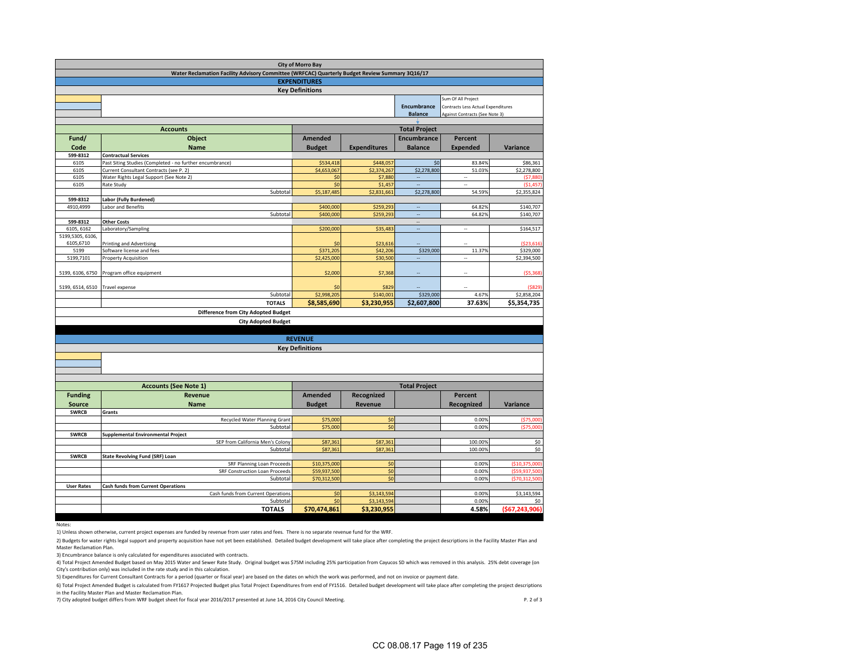| <b>City of Morro Bay</b>                                                                       |                                                          |                              |                          |                                            |                                |                                |  |  |  |  |  |  |
|------------------------------------------------------------------------------------------------|----------------------------------------------------------|------------------------------|--------------------------|--------------------------------------------|--------------------------------|--------------------------------|--|--|--|--|--|--|
| Water Reclamation Facility Advisory Committee (WRFCAC) Quarterly Budget Review Summary 3Q16/17 |                                                          |                              |                          |                                            |                                |                                |  |  |  |  |  |  |
| <b>EXPENDITURES</b><br><b>Key Definitions</b>                                                  |                                                          |                              |                          |                                            |                                |                                |  |  |  |  |  |  |
|                                                                                                | Sum Of All Project                                       |                              |                          |                                            |                                |                                |  |  |  |  |  |  |
|                                                                                                |                                                          |                              | Encumbrance              | Contracts Less Actual Expenditures         |                                |                                |  |  |  |  |  |  |
|                                                                                                |                                                          |                              |                          | <b>Balance</b>                             | Against Contracts (See Note 3) |                                |  |  |  |  |  |  |
|                                                                                                |                                                          |                              |                          |                                            |                                |                                |  |  |  |  |  |  |
| Fund/                                                                                          | <b>Accounts</b>                                          |                              |                          | <b>Total Project</b><br><b>Encumbrance</b> |                                |                                |  |  |  |  |  |  |
| Code                                                                                           | Object<br><b>Name</b>                                    | <b>Amended</b>               | <b>Expenditures</b>      | <b>Balance</b>                             | <b>Percent</b>                 |                                |  |  |  |  |  |  |
| 599-8312                                                                                       | <b>Contractual Services</b>                              | <b>Budget</b>                |                          |                                            | <b>Expended</b>                | Variance                       |  |  |  |  |  |  |
| 6105                                                                                           | Past Siting Studies (Completed - no further encumbrance) | \$534,418                    | \$448,057                | \$0                                        | 83.84%                         | \$86,361                       |  |  |  |  |  |  |
| 6105                                                                                           | Current Consultant Contracts (see P. 2)                  | \$4,653,067                  | \$2,374,267              | \$2,278,800                                | 51.03%                         | \$2,278,800                    |  |  |  |  |  |  |
| 6105                                                                                           | Water Rights Legal Support (See Note 2)                  | \$0                          | \$7,880                  |                                            | ÷.                             | (57, 880)                      |  |  |  |  |  |  |
| 6105                                                                                           | Rate Study                                               | \$0                          | \$1,457                  | u.                                         | ÷.                             | (51, 457)                      |  |  |  |  |  |  |
| 599-8312                                                                                       | Subtotal<br><b>Labor (Fully Burdened)</b>                | \$5,187,485                  | \$2,831,661              | \$2,278,800                                | 54.59%                         | \$2,355,824                    |  |  |  |  |  |  |
| 4910,4999                                                                                      | Labor and Benefits                                       | \$400,000                    | \$259,293                | ÷,                                         | 64.82%                         | \$140,707                      |  |  |  |  |  |  |
|                                                                                                | Subtotal                                                 | \$400,000                    | \$259,293                | L.                                         | 64.82%                         | \$140,707                      |  |  |  |  |  |  |
| 599-8312                                                                                       | <b>Other Costs</b>                                       |                              |                          | --                                         |                                |                                |  |  |  |  |  |  |
| 6105, 6162                                                                                     | Laboratory/Sampling                                      | \$200,000                    | \$35,483                 | ÷,                                         | -                              | \$164,517                      |  |  |  |  |  |  |
| 5199,5305, 6106                                                                                |                                                          |                              |                          |                                            |                                |                                |  |  |  |  |  |  |
| 6105,6710<br>5199                                                                              | Printing and Advertising<br>Software license and fees    | \$0<br>\$371,205             | \$23,616<br>\$42,206     | \$329,000                                  | 11.37%                         | (523, 616)<br>\$329,000        |  |  |  |  |  |  |
| 5199,7101                                                                                      | <b>Property Acquisition</b>                              | \$2,425,000                  | \$30,500                 |                                            | ä,                             | \$2,394,500                    |  |  |  |  |  |  |
|                                                                                                |                                                          |                              |                          |                                            |                                |                                |  |  |  |  |  |  |
| 5199, 6106, 6750                                                                               | Program office equipment                                 | \$2,000                      | \$7,368                  |                                            |                                | (55.368)                       |  |  |  |  |  |  |
|                                                                                                |                                                          |                              |                          |                                            |                                |                                |  |  |  |  |  |  |
| 5199, 6514, 6510                                                                               | Travel expense                                           | \$0<br>\$2,998,205           | \$829                    |                                            |                                | (5829)                         |  |  |  |  |  |  |
|                                                                                                | Subtotal<br><b>TOTALS</b>                                | \$8,585,690                  | \$140,001<br>\$3,230,955 | \$329,000<br>\$2,607,800                   | 4.67%<br>37.63%                | \$2,858,204<br>\$5,354,735     |  |  |  |  |  |  |
|                                                                                                |                                                          |                              |                          |                                            |                                |                                |  |  |  |  |  |  |
|                                                                                                | <b>Difference from City Adopted Budget</b>               |                              |                          |                                            |                                |                                |  |  |  |  |  |  |
|                                                                                                | <b>City Adopted Budget</b>                               |                              |                          |                                            |                                |                                |  |  |  |  |  |  |
|                                                                                                |                                                          | <b>REVENUE</b>               |                          |                                            |                                |                                |  |  |  |  |  |  |
|                                                                                                |                                                          | <b>Key Definitions</b>       |                          |                                            |                                |                                |  |  |  |  |  |  |
|                                                                                                |                                                          |                              |                          |                                            |                                |                                |  |  |  |  |  |  |
|                                                                                                |                                                          |                              |                          |                                            |                                |                                |  |  |  |  |  |  |
|                                                                                                |                                                          |                              |                          |                                            |                                |                                |  |  |  |  |  |  |
|                                                                                                |                                                          |                              |                          |                                            |                                |                                |  |  |  |  |  |  |
|                                                                                                | <b>Accounts (See Note 1)</b>                             |                              |                          | <b>Total Project</b>                       |                                |                                |  |  |  |  |  |  |
| <b>Funding</b>                                                                                 | <b>Revenue</b>                                           | <b>Amended</b>               | Recognized               |                                            | Percent                        |                                |  |  |  |  |  |  |
| <b>Source</b>                                                                                  | <b>Name</b>                                              | <b>Budget</b>                | Revenue                  |                                            | Recognized                     | Variance                       |  |  |  |  |  |  |
| <b>SWRCB</b>                                                                                   | Grants<br>Recycled Water Planning Grant                  | \$75,000                     | \$0                      |                                            | 0.00%                          | (\$75,000                      |  |  |  |  |  |  |
|                                                                                                | Subtotal                                                 | \$75,000                     | \$0                      |                                            | 0.00%                          | (\$75,000                      |  |  |  |  |  |  |
| <b>SWRCB</b>                                                                                   | <b>Supplemental Environmental Project</b>                |                              |                          |                                            |                                |                                |  |  |  |  |  |  |
|                                                                                                | SEP from California Men's Colony                         | \$87,361                     | \$87,361                 |                                            | 100.00%                        | \$0                            |  |  |  |  |  |  |
|                                                                                                | Subtotal                                                 | \$87,361                     | \$87,361                 |                                            | 100.00%                        | \$0                            |  |  |  |  |  |  |
| <b>SWRCB</b>                                                                                   | <b>State Revolving Fund (SRF) Loan</b>                   |                              |                          |                                            |                                |                                |  |  |  |  |  |  |
|                                                                                                | SRF Planning Loan Proceeds                               | \$10,375,000                 | \$0                      |                                            | 0.00%                          | (\$10,375,000                  |  |  |  |  |  |  |
|                                                                                                | SRF Construction Loan Proceeds<br>Subtotal               | \$59,937,500<br>\$70,312,500 | \$0<br>\$0               |                                            | 0.00%<br>0.00%                 | (\$59.937.500<br>(\$70,312,500 |  |  |  |  |  |  |
| <b>User Rates</b>                                                                              | <b>Cash funds from Current Operations</b>                |                              |                          |                                            |                                |                                |  |  |  |  |  |  |
|                                                                                                | Cash funds from Current Operations                       | \$0                          | \$3,143,594              |                                            | 0.00%                          | \$3,143,594                    |  |  |  |  |  |  |
|                                                                                                | Subtotal                                                 | \$0                          | \$3,143,594              |                                            | 0.00%                          | \$0                            |  |  |  |  |  |  |
|                                                                                                | <b>TOTALS</b>                                            | \$70,474,861                 | \$3,230,955              |                                            | 4.58%                          | (\$67,243,906)                 |  |  |  |  |  |  |

#### Notes:

1) Unless shown otherwise, current project expenses are funded by revenue from user rates and fees. There is no separate revenue fund for the WRF.

2) Budgets for water rights legal support and property acquisition have not yet been established. Detailed budget development will take place after completing the project descriptions in the Facility Master Plan and Master Reclamation Plan.

3) Encumbrance balance is only calculated for expenditures associated with contracts.

4) Total Project Amended Budget based on May 2015 Water and Sewer Rate Study. Original budget was \$75M including 25% participation from Cayucos SD which was removed in this analysis. 25% debt coverage (on City's contribution only) was included in the rate study and in this calculation.

5) Expenditures for Current Consultant Contracts for a period (quarter or fiscal year) are based on the dates on which the work was performed, and not on invoice or payment date.

6) Total Project Amended Budget is calculated from FY1617 Projected Budget plus Total Project Expenditures from end of FY1516. Detailed budget development will take place after completing the project descriptions in the Facility Master Plan and Master Reclamation Plan.

7) City adopted budget differs from WRF budget sheet for fiscal year 2016/2017 presented at June 14, 2016 City Council Meeting. P. 2 of 3